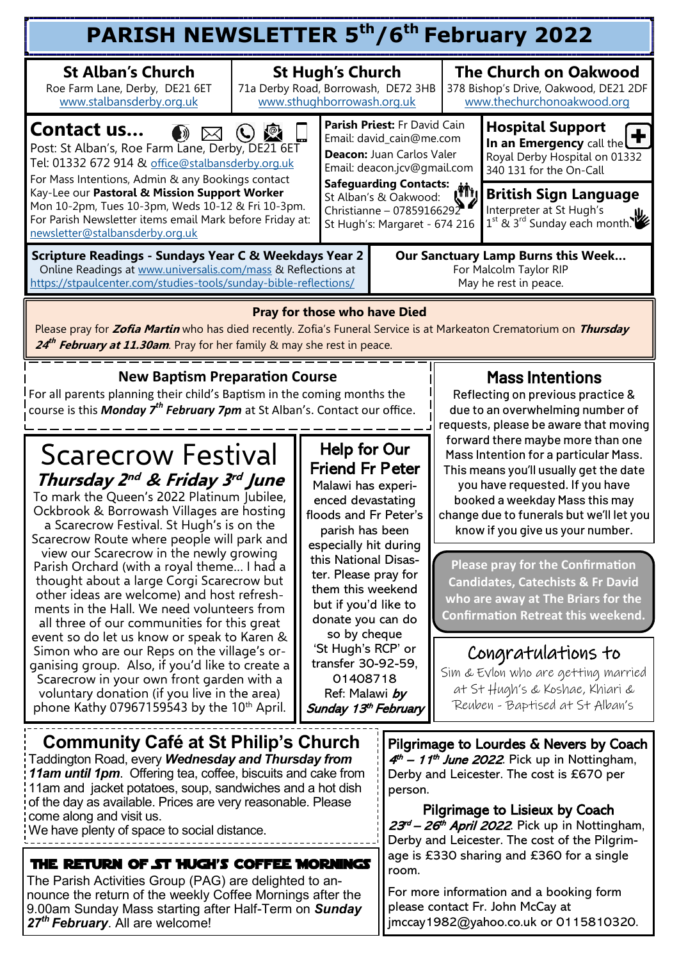| <b>PARISH NEWSLETTER 5th/6th February 2022</b>                                                                                                                                                                                                                                                                                                                                                                                                                                                                                                                                                                                                                                                                                                                                                                                                                                                                                                                                                                                                                      |                                                                                                                                                                                                                                                                                                                                                                                            |                                                                                                                                                                                                                                                                                                                                                                                                                                                                                                                                                                                                                                                                                                                                        |                                                                                                                                                                                                                                                                                                                                                                                                                                                                                                          |                                                                                                                                                                                                                                     |                                                                                                     |  |  |  |  |
|---------------------------------------------------------------------------------------------------------------------------------------------------------------------------------------------------------------------------------------------------------------------------------------------------------------------------------------------------------------------------------------------------------------------------------------------------------------------------------------------------------------------------------------------------------------------------------------------------------------------------------------------------------------------------------------------------------------------------------------------------------------------------------------------------------------------------------------------------------------------------------------------------------------------------------------------------------------------------------------------------------------------------------------------------------------------|--------------------------------------------------------------------------------------------------------------------------------------------------------------------------------------------------------------------------------------------------------------------------------------------------------------------------------------------------------------------------------------------|----------------------------------------------------------------------------------------------------------------------------------------------------------------------------------------------------------------------------------------------------------------------------------------------------------------------------------------------------------------------------------------------------------------------------------------------------------------------------------------------------------------------------------------------------------------------------------------------------------------------------------------------------------------------------------------------------------------------------------------|----------------------------------------------------------------------------------------------------------------------------------------------------------------------------------------------------------------------------------------------------------------------------------------------------------------------------------------------------------------------------------------------------------------------------------------------------------------------------------------------------------|-------------------------------------------------------------------------------------------------------------------------------------------------------------------------------------------------------------------------------------|-----------------------------------------------------------------------------------------------------|--|--|--|--|
| <b>St Alban's Church</b><br>Roe Farm Lane, Derby, DE21 6ET<br>www.stalbansderby.org.uk                                                                                                                                                                                                                                                                                                                                                                                                                                                                                                                                                                                                                                                                                                                                                                                                                                                                                                                                                                              | 71a Derby Road, Borrowash, DE72 3HB<br>www.sthughborrowash.org.uk                                                                                                                                                                                                                                                                                                                          | <b>St Hugh's Church</b>                                                                                                                                                                                                                                                                                                                                                                                                                                                                                                                                                                                                                                                                                                                |                                                                                                                                                                                                                                                                                                                                                                                                                                                                                                          |                                                                                                                                                                                                                                     | <b>The Church on Oakwood</b><br>378 Bishop's Drive, Oakwood, DE21 2DF<br>www.thechurchonoakwood.org |  |  |  |  |
| Contact us<br>$\ket{v}$<br>Post: St Alban's, Roe Farm Lane, Derby, DE21 6ET<br>Tel: 01332 672 914 & office@stalbansderby.org.uk<br>For Mass Intentions, Admin & any Bookings contact<br>Kay-Lee our Pastoral & Mission Support Worker<br>Mon 10-2pm, Tues 10-3pm, Weds 10-12 & Fri 10-3pm.<br>For Parish Newsletter items email Mark before Friday at:<br>newsletter@stalbansderby.org.uk                                                                                                                                                                                                                                                                                                                                                                                                                                                                                                                                                                                                                                                                           | Parish Priest: Fr David Cain<br>Email: david cain@me.com<br>Deacon: Juan Carlos Valer<br>Email: deacon.jcv@gmail.com<br>Safeguarding Contacts:<br>Christianne - 07859166292<br>St Hugh's: Margaret - 674 216                                                                                                                                                                               |                                                                                                                                                                                                                                                                                                                                                                                                                                                                                                                                                                                                                                                                                                                                        |                                                                                                                                                                                                                                                                                                                                                                                                                                                                                                          | <b>Hospital Support</b><br>In an Emergency call the<br>Royal Derby Hospital on 01332<br>340 131 for the On-Call<br><b>British Sign Language</b><br>Interpreter at St Hugh's<br>1 <sup>st</sup> & 3 <sup>rd</sup> Sunday each month. |                                                                                                     |  |  |  |  |
| Scripture Readings - Sundays Year C & Weekdays Year 2<br>Online Readings at www.universalis.com/mass & Reflections at<br>https://stpaulcenter.com/studies-tools/sunday-bible-reflections/                                                                                                                                                                                                                                                                                                                                                                                                                                                                                                                                                                                                                                                                                                                                                                                                                                                                           |                                                                                                                                                                                                                                                                                                                                                                                            | Our Sanctuary Lamp Burns this Week<br>For Malcolm Taylor RIP<br>May he rest in peace.                                                                                                                                                                                                                                                                                                                                                                                                                                                                                                                                                                                                                                                  |                                                                                                                                                                                                                                                                                                                                                                                                                                                                                                          |                                                                                                                                                                                                                                     |                                                                                                     |  |  |  |  |
| <b>Pray for those who have Died</b><br>Please pray for Zofia Martin who has died recently. Zofia's Funeral Service is at Markeaton Crematorium on Thursday<br>24 <sup>th</sup> February at 11.30am. Pray for her family & may she rest in peace.                                                                                                                                                                                                                                                                                                                                                                                                                                                                                                                                                                                                                                                                                                                                                                                                                    |                                                                                                                                                                                                                                                                                                                                                                                            |                                                                                                                                                                                                                                                                                                                                                                                                                                                                                                                                                                                                                                                                                                                                        |                                                                                                                                                                                                                                                                                                                                                                                                                                                                                                          |                                                                                                                                                                                                                                     |                                                                                                     |  |  |  |  |
| <b>New Baptism Preparation Course</b><br>For all parents planning their child's Baptism in the coming months the<br>course is this Monday 7 <sup>th</sup> February 7pm at St Alban's. Contact our office.<br><b>Scarecrow Festival</b><br>Thursday 2 <sup>nd</sup> & Friday 3 <sup>rd</sup> June<br>To mark the Queen's 2022 Platinum Jubilee,<br>Ockbrook & Borrowash Villages are hosting<br>a Scarecrow Festival. St Hugh's is on the<br>Scarecrow Route where people will park and<br>view our Scarecrow in the newly growing<br>Parish Orchard (with a royal theme I had a<br>thought about a large Corgi Scarecrow but<br>other ideas are welcome) and host refresh-<br>ments in the Hall. We need volunteers from<br>all three of our communities for this great<br>event so do let us know or speak to Karen &<br>Simon who are our Reps on the village's or-<br>ganising group. Also, if you'd like to create a<br>Scarecrow in your own front garden with a<br>voluntary donation (if you live in the area)<br>phone Kathy 07967159543 by the 10th April. | Help for Our<br><b>Friend Fr Peter</b><br>Malawi has experi-<br>enced devastating<br>floods and Fr Peter's<br>parish has been<br>especially hit during<br>this National Disas-<br>ter. Please pray for<br>them this weekend<br>but if you'd like to<br>donate you can do<br>so by cheque<br>'St Hugh's RCP' or<br>transfer 30-92-59,<br>01408718<br>Ref: Malawi by<br>Sunday 13th February | <b>Mass Intentions</b><br>Reflecting on previous practice &<br>due to an overwhelming number of<br>requests, please be aware that moving<br>forward there maybe more than one<br>Mass Intention for a particular Mass.<br>This means you'll usually get the date<br>you have requested. If you have<br>booked a weekday Mass this may<br>change due to funerals but we'll let you<br>know if you give us your number.<br><b>Please pray for the Confirmation</b><br><b>Candidates, Catechists &amp; Fr David</b><br>who are away at The Briars for the<br><b>Confirmation Retreat this weekend.</b><br>Congratulations to<br>Sim & Evlon who are getting married<br>at St Hugh's & Koshae, Khiari &<br>Reuben - Baptised at St Alban's |                                                                                                                                                                                                                                                                                                                                                                                                                                                                                                          |                                                                                                                                                                                                                                     |                                                                                                     |  |  |  |  |
| Community Café at St Philip's Church<br>Taddington Road, every Wednesday and Thursday from<br>11am until 1pm. Offering tea, coffee, biscuits and cake from<br>11am and jacket potatoes, soup, sandwiches and a hot dish<br>of the day as available. Prices are very reasonable. Please<br>come along and visit us.<br>We have plenty of space to social distance.<br>THE RETURN OF ST HUGH'S COFFEE MORNINGS<br>The Parish Activities Group (PAG) are delighted to an-<br>nounce the return of the weekly Coffee Mornings after the<br>9.00am Sunday Mass starting after Half-Term on Sunday<br>27 <sup>th</sup> February. All are welcome!                                                                                                                                                                                                                                                                                                                                                                                                                         |                                                                                                                                                                                                                                                                                                                                                                                            |                                                                                                                                                                                                                                                                                                                                                                                                                                                                                                                                                                                                                                                                                                                                        | Pilgrimage to Lourdes & Nevers by Coach<br>$4th$ – 11 <sup>th</sup> June 2022. Pick up in Nottingham,<br>Derby and Leicester. The cost is £670 per<br>person.<br>Pilgrimage to Lisieux by Coach<br>23 <sup>rd</sup> – 26 <sup>th</sup> April 2022. Pick up in Nottingham,<br>Derby and Leicester. The cost of the Pilgrim-<br>age is £330 sharing and £360 for a single<br>room.<br>For more information and a booking form<br>please contact Fr. John McCay at<br>jmccay1982@yahoo.co.uk or 0115810320. |                                                                                                                                                                                                                                     |                                                                                                     |  |  |  |  |